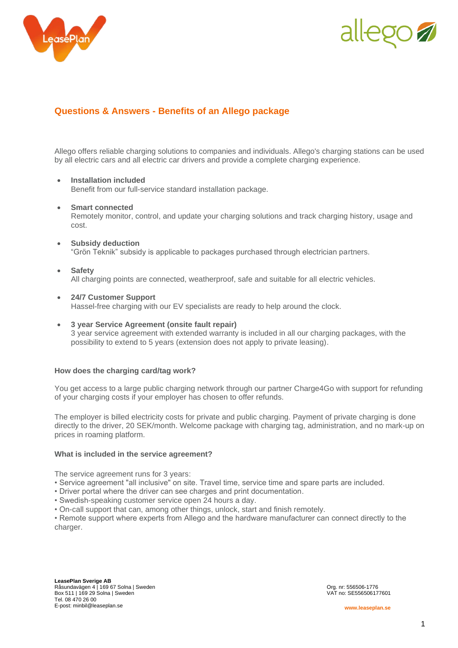



# **Questions & Answers - Benefits of an Allego package**

Allego offers reliable charging solutions to companies and individuals. Allego's charging stations can be used by all electric cars and all electric car drivers and provide a complete charging experience.

# • **Installation included**

Benefit from our full-service standard installation package.

• **Smart connected**

Remotely monitor, control, and update your charging solutions and track charging history, usage and cost.

- **Subsidy deduction** "Grön Teknik" subsidy is applicable to packages purchased through electrician partners.
- **Safety**

All charging points are connected, weatherproof, safe and suitable for all electric vehicles.

- **24/7 Customer Support** Hassel-free charging with our EV specialists are ready to help around the clock.
- **3 year Service Agreement (onsite fault repair)** 3 year service agreement with extended warranty is included in all our charging packages, with the possibility to extend to 5 years (extension does not apply to private leasing).

# **How does the charging card/tag work?**

You get access to a large public charging network through our partner Charge4Go with support for refunding of your charging costs if your employer has chosen to offer refunds.

The employer is billed electricity costs for private and public charging. Payment of private charging is done directly to the driver, 20 SEK/month. Welcome package with charging tag, administration, and no mark-up on prices in roaming platform.

#### **What is included in the service agreement?**

The service agreement runs for 3 years:

- Service agreement "all inclusive" on site. Travel time, service time and spare parts are included.
- Driver portal where the driver can see charges and print documentation.
- Swedish-speaking customer service open 24 hours a day.

• On-call support that can, among other things, unlock, start and finish remotely.

• Remote support where experts from Allego and the hardware manufacturer can connect directly to the charger.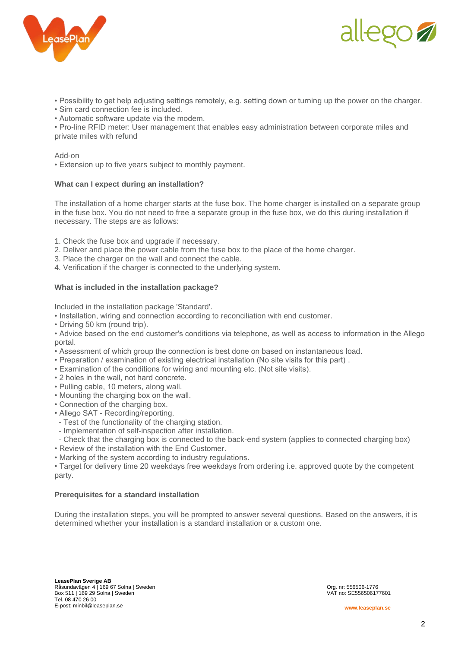



- Possibility to get help adjusting settings remotely, e.g. setting down or turning up the power on the charger.
- Sim card connection fee is included.
- Automatic software update via the modem.

• Pro-line RFID meter: User management that enables easy administration between corporate miles and private miles with refund

#### Add-on

• Extension up to five years subject to monthly payment.

#### **What can I expect during an installation?**

The installation of a home charger starts at the fuse box. The home charger is installed on a separate group in the fuse box. You do not need to free a separate group in the fuse box, we do this during installation if necessary. The steps are as follows:

- 1. Check the fuse box and upgrade if necessary.
- 2. Deliver and place the power cable from the fuse box to the place of the home charger.
- 3. Place the charger on the wall and connect the cable.
- 4. Verification if the charger is connected to the underlying system.

#### **What is included in the installation package?**

Included in the installation package 'Standard'.

- Installation, wiring and connection according to reconciliation with end customer.
- Driving 50 km (round trip).

• Advice based on the end customer's conditions via telephone, as well as access to information in the Allego portal.

- Assessment of which group the connection is best done on based on instantaneous load.
- Preparation / examination of existing electrical installation (No site visits for this part) .
- Examination of the conditions for wiring and mounting etc. (Not site visits).
- 2 holes in the wall, not hard concrete.
- Pulling cable, 10 meters, along wall.
- Mounting the charging box on the wall.
- Connection of the charging box.
- Allego SAT Recording/reporting.
- Test of the functionality of the charging station.
- Implementation of self-inspection after installation.
- Check that the charging box is connected to the back-end system (applies to connected charging box)
- Review of the installation with the End Customer.
- Marking of the system according to industry regulations.

• Target for delivery time 20 weekdays free weekdays from ordering i.e. approved quote by the competent party.

#### **Prerequisites for a standard installation**

During the installation steps, you will be prompted to answer several questions. Based on the answers, it is determined whether your installation is a standard installation or a custom one.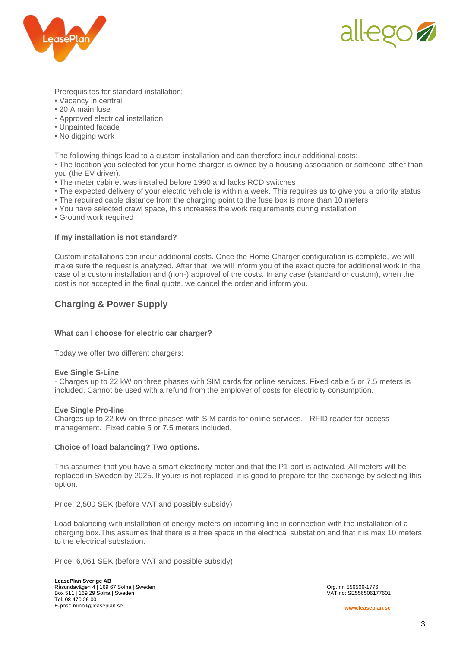



Prerequisites for standard installation:

- Vacancy in central
- 20 A main fuse
- Approved electrical installation
- Unpainted facade
- No digging work

The following things lead to a custom installation and can therefore incur additional costs:

• The location you selected for your home charger is owned by a housing association or someone other than you (the EV driver).

- The meter cabinet was installed before 1990 and lacks RCD switches
- The expected delivery of your electric vehicle is within a week. This requires us to give you a priority status
- The required cable distance from the charging point to the fuse box is more than 10 meters
- You have selected crawl space, this increases the work requirements during installation
- Ground work required

# **If my installation is not standard?**

Custom installations can incur additional costs. Once the Home Charger configuration is complete, we will make sure the request is analyzed. After that, we will inform you of the exact quote for additional work in the case of a custom installation and (non-) approval of the costs. In any case (standard or custom), when the cost is not accepted in the final quote, we cancel the order and inform you.

# **Charging & Power Supply**

# **What can I choose for electric car charger?**

Today we offer two different chargers:

#### **Eve Single S-Line**

- Charges up to 22 kW on three phases with SIM cards for online services. Fixed cable 5 or 7.5 meters is included. Cannot be used with a refund from the employer of costs for electricity consumption.

#### **Eve Single Pro-line**

Charges up to 22 kW on three phases with SIM cards for online services. - RFID reader for access management. Fixed cable 5 or 7.5 meters included.

# **Choice of load balancing? Two options.**

This assumes that you have a smart electricity meter and that the P1 port is activated. All meters will be replaced in Sweden by 2025. If yours is not replaced, it is good to prepare for the exchange by selecting this option.

Price: 2,500 SEK (before VAT and possibly subsidy)

Load balancing with installation of energy meters on incoming line in connection with the installation of a charging box.This assumes that there is a free space in the electrical substation and that it is max 10 meters to the electrical substation.

Price: 6,061 SEK (before VAT and possible subsidy)

**LeasePlan Sverige AB** Råsundavägen 4 | 169 67 Solna | Sweden Org. nr: 556506-1776<br>1990 - Box 511 | 169 29 Solna | Sweden Org. nr: 556506177601 Box 511 | 169 29 Solna | Sweden Tel. 08 470 26 00 E-post: minbil@leaseplan.se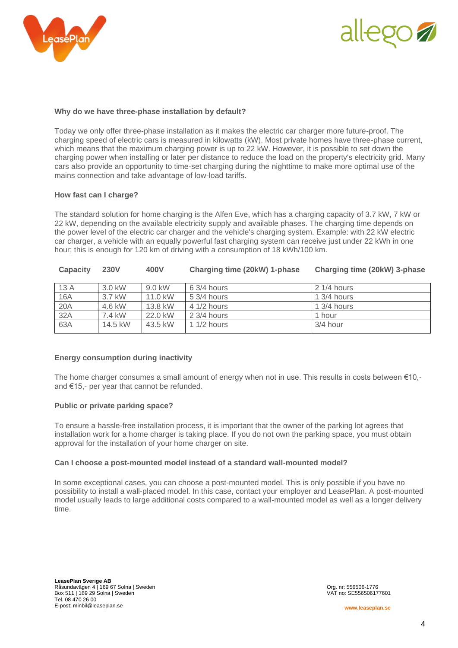



### **Why do we have three-phase installation by default?**

Today we only offer three-phase installation as it makes the electric car charger more future-proof. The charging speed of electric cars is measured in kilowatts (kW). Most private homes have three-phase current, which means that the maximum charging power is up to 22 kW. However, it is possible to set down the charging power when installing or later per distance to reduce the load on the property's electricity grid. Many cars also provide an opportunity to time-set charging during the nighttime to make more optimal use of the mains connection and take advantage of low-load tariffs.

#### **How fast can I charge?**

The standard solution for home charging is the Alfen Eve, which has a charging capacity of 3.7 kW, 7 kW or 22 kW, depending on the available electricity supply and available phases. The charging time depends on the power level of the electric car charger and the vehicle's charging system. Example: with 22 kW electric car charger, a vehicle with an equally powerful fast charging system can receive just under 22 kWh in one hour; this is enough for 120 km of driving with a consumption of 18 kWh/100 km.

| <b>Capacity</b> | <b>230V</b> | 400V    | Charging time (20kW) 1-phase | Charging time (20kW) 3-phase |
|-----------------|-------------|---------|------------------------------|------------------------------|
| 13 A            | 3.0 kW      | 9.0 kW  | $63/4$ hours                 | $21/4$ hours                 |
| <b>16A</b>      | 3.7 kW      | 11.0 kW | $5.3/4$ hours                | $1.3/4$ hours                |
| 20A             | 4.6 kW      | 13.8 kW | $41/2$ hours                 | $13/4$ hours                 |
| 32A             | 7.4 kW      | 22.0 kW | 2 3/4 hours                  | 1 hour                       |
| 63A             | 14.5 kW     | 43.5 kW | 1 $1/2$ hours                | 3/4 hour                     |

# **Energy consumption during inactivity**

The home charger consumes a small amount of energy when not in use. This results in costs between  $\epsilon$ 10,and €15,- per year that cannot be refunded.

#### **Public or private parking space?**

To ensure a hassle-free installation process, it is important that the owner of the parking lot agrees that installation work for a home charger is taking place. If you do not own the parking space, you must obtain approval for the installation of your home charger on site.

#### **Can I choose a post-mounted model instead of a standard wall-mounted model?**

In some exceptional cases, you can choose a post-mounted model. This is only possible if you have no possibility to install a wall-placed model. In this case, contact your employer and LeasePlan. A post-mounted model usually leads to large additional costs compared to a wall-mounted model as well as a longer delivery time.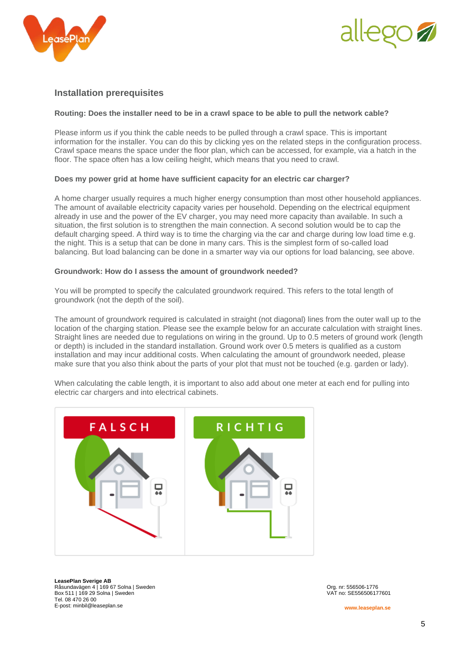



# **Installation prerequisites**

# **Routing: Does the installer need to be in a crawl space to be able to pull the network cable?**

Please inform us if you think the cable needs to be pulled through a crawl space. This is important information for the installer. You can do this by clicking yes on the related steps in the configuration process. Crawl space means the space under the floor plan, which can be accessed, for example, via a hatch in the floor. The space often has a low ceiling height, which means that you need to crawl.

#### **Does my power grid at home have sufficient capacity for an electric car charger?**

A home charger usually requires a much higher energy consumption than most other household appliances. The amount of available electricity capacity varies per household. Depending on the electrical equipment already in use and the power of the EV charger, you may need more capacity than available. In such a situation, the first solution is to strengthen the main connection. A second solution would be to cap the default charging speed. A third way is to time the charging via the car and charge during low load time e.g. the night. This is a setup that can be done in many cars. This is the simplest form of so-called load balancing. But load balancing can be done in a smarter way via our options for load balancing, see above.

#### **Groundwork: How do I assess the amount of groundwork needed?**

You will be prompted to specify the calculated groundwork required. This refers to the total length of groundwork (not the depth of the soil).

The amount of groundwork required is calculated in straight (not diagonal) lines from the outer wall up to the location of the charging station. Please see the example below for an accurate calculation with straight lines. Straight lines are needed due to regulations on wiring in the ground. Up to 0.5 meters of ground work (length or depth) is included in the standard installation. Ground work over 0.5 meters is qualified as a custom installation and may incur additional costs. When calculating the amount of groundwork needed, please make sure that you also think about the parts of your plot that must not be touched (e.g. garden or lady).

When calculating the cable length, it is important to also add about one meter at each end for pulling into electric car chargers and into electrical cabinets.



**LeasePlan Sverige AB** Råsundavägen 4 | 169 67 Solna | Sweden Org. nr: 556506-1776<br>1990 - Box 511 | 169 29 Solna | Sweden Org. nr: 556506177601 Box 511 | 169 29 Solna | Sweden Tel. 08 470 26 00 E-post: minbil@leaseplan.se

**www.leaseplan.se**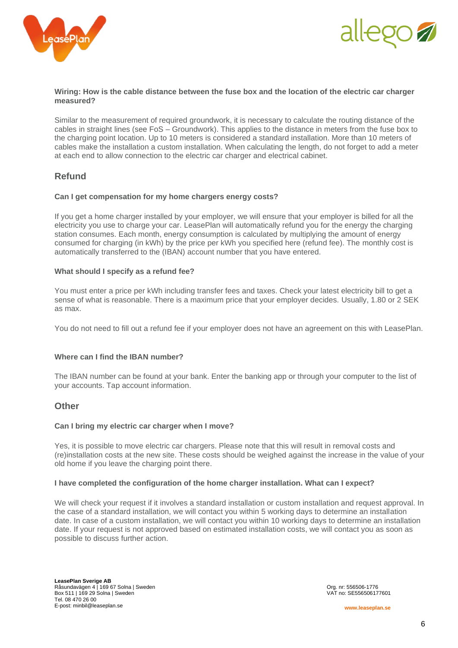



#### **Wiring: How is the cable distance between the fuse box and the location of the electric car charger measured?**

Similar to the measurement of required groundwork, it is necessary to calculate the routing distance of the cables in straight lines (see FoS – Groundwork). This applies to the distance in meters from the fuse box to the charging point location. Up to 10 meters is considered a standard installation. More than 10 meters of cables make the installation a custom installation. When calculating the length, do not forget to add a meter at each end to allow connection to the electric car charger and electrical cabinet.

# **Refund**

#### **Can I get compensation for my home chargers energy costs?**

If you get a home charger installed by your employer, we will ensure that your employer is billed for all the electricity you use to charge your car. LeasePlan will automatically refund you for the energy the charging station consumes. Each month, energy consumption is calculated by multiplying the amount of energy consumed for charging (in kWh) by the price per kWh you specified here (refund fee). The monthly cost is automatically transferred to the (IBAN) account number that you have entered.

# **What should I specify as a refund fee?**

You must enter a price per kWh including transfer fees and taxes. Check your latest electricity bill to get a sense of what is reasonable. There is a maximum price that your employer decides. Usually, 1.80 or 2 SEK as max.

You do not need to fill out a refund fee if your employer does not have an agreement on this with LeasePlan.

# **Where can I find the IBAN number?**

The IBAN number can be found at your bank. Enter the banking app or through your computer to the list of your accounts. Tap account information.

# **Other**

#### **Can I bring my electric car charger when I move?**

Yes, it is possible to move electric car chargers. Please note that this will result in removal costs and (re)installation costs at the new site. These costs should be weighed against the increase in the value of your old home if you leave the charging point there.

#### **I have completed the configuration of the home charger installation. What can I expect?**

We will check your request if it involves a standard installation or custom installation and request approval. In the case of a standard installation, we will contact you within 5 working days to determine an installation date. In case of a custom installation, we will contact you within 10 working days to determine an installation date. If your request is not approved based on estimated installation costs, we will contact you as soon as possible to discuss further action.